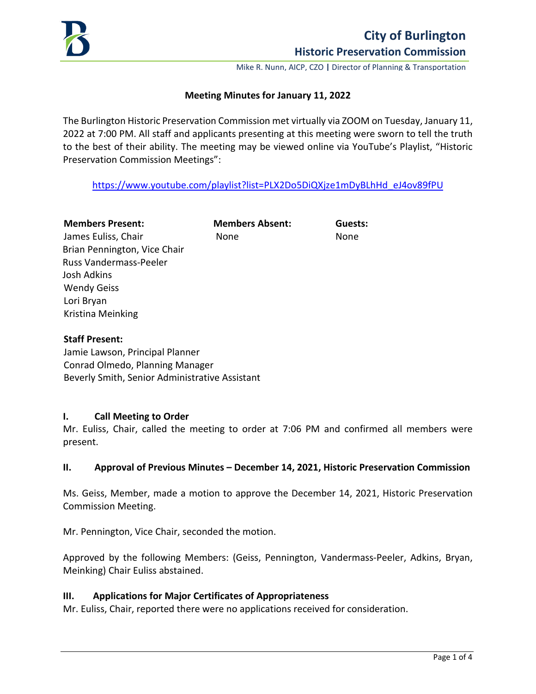

Mike R. Nunn, AICP, CZO **|** Director of Planning & Transportation

# **Meeting Minutes for January 11, 2022**

The Burlington Historic Preservation Commission met virtually via ZOOM on Tuesday, January 11, 2022 at 7:00 PM. All staff and applicants presenting at this meeting were sworn to tell the truth to the best of their ability. The meeting may be viewed online via YouTube's Playlist, "Historic Preservation Commission Meetings":

[https://www.youtube.com/playlist?list=PLX2Do5DiQXjze1mDyBLhHd\\_eJ4ov89fPU](https://www.youtube.com/playlist?list=PLX2Do5DiQXjze1mDyBLhHd_eJ4ov89fPU) 

# **Members Present: Members Absent: Guests:**

James Euliss, Chair **None** None None Brian Pennington, Vice Chair Russ Vandermass-Peeler Josh Adkins Wendy Geiss Lori Bryan Kristina Meinking

# **Staff Present:**

Jamie Lawson, Principal Planner Conrad Olmedo, Planning Manager Beverly Smith, Senior Administrative Assistant

## **I. Call Meeting to Order**

Mr. Euliss, Chair, called the meeting to order at 7:06 PM and confirmed all members were present.

## **II. Approval of Previous Minutes – December 14, 2021, Historic Preservation Commission**

Ms. Geiss, Member, made a motion to approve the December 14, 2021, Historic Preservation Commission Meeting.

Mr. Pennington, Vice Chair, seconded the motion.

Approved by the following Members: (Geiss, Pennington, Vandermass-Peeler, Adkins, Bryan, Meinking) Chair Euliss abstained.

## **III. Applications for Major Certificates of Appropriateness**

Mr. Euliss, Chair, reported there were no applications received for consideration.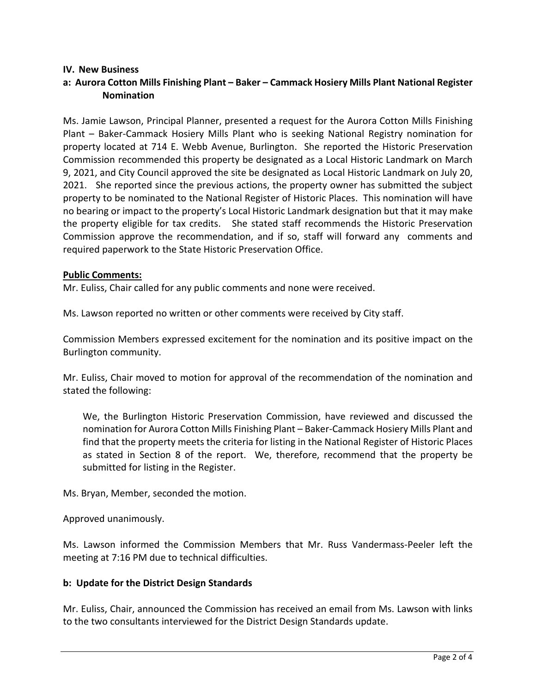## **IV. New Business**

# **a: Aurora Cotton Mills Finishing Plant – Baker – Cammack Hosiery Mills Plant National Register Nomination**

Ms. Jamie Lawson, Principal Planner, presented a request for the Aurora Cotton Mills Finishing Plant – Baker-Cammack Hosiery Mills Plant who is seeking National Registry nomination for property located at 714 E. Webb Avenue, Burlington. She reported the Historic Preservation Commission recommended this property be designated as a Local Historic Landmark on March 9, 2021, and City Council approved the site be designated as Local Historic Landmark on July 20, 2021. She reported since the previous actions, the property owner has submitted the subject property to be nominated to the National Register of Historic Places. This nomination will have no bearing or impact to the property's Local Historic Landmark designation but that it may make the property eligible for tax credits. She stated staff recommends the Historic Preservation Commission approve the recommendation, and if so, staff will forward any comments and required paperwork to the State Historic Preservation Office.

#### **Public Comments:**

Mr. Euliss, Chair called for any public comments and none were received.

Ms. Lawson reported no written or other comments were received by City staff.

Commission Members expressed excitement for the nomination and its positive impact on the Burlington community.

Mr. Euliss, Chair moved to motion for approval of the recommendation of the nomination and stated the following:

We, the Burlington Historic Preservation Commission, have reviewed and discussed the nomination for Aurora Cotton Mills Finishing Plant – Baker-Cammack Hosiery Mills Plant and find that the property meets the criteria for listing in the National Register of Historic Places as stated in Section 8 of the report. We, therefore, recommend that the property be submitted for listing in the Register.

Ms. Bryan, Member, seconded the motion.

Approved unanimously.

Ms. Lawson informed the Commission Members that Mr. Russ Vandermass-Peeler left the meeting at 7:16 PM due to technical difficulties.

## **b: Update for the District Design Standards**

Mr. Euliss, Chair, announced the Commission has received an email from Ms. Lawson with links to the two consultants interviewed for the District Design Standards update.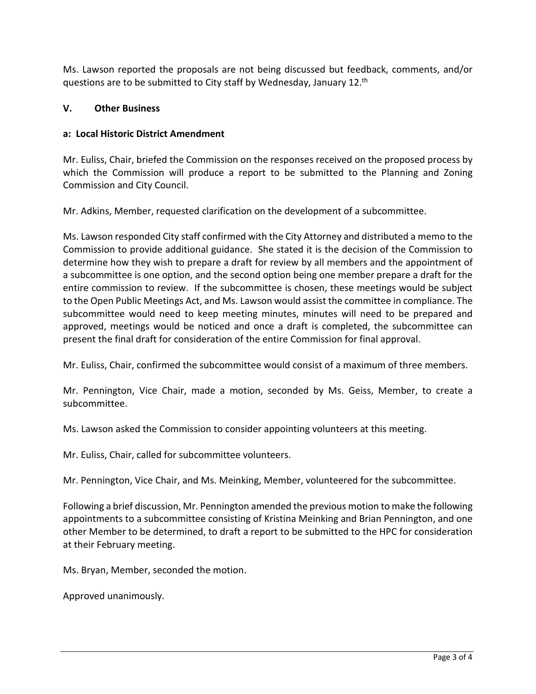Ms. Lawson reported the proposals are not being discussed but feedback, comments, and/or questions are to be submitted to City staff by Wednesday, January 12.<sup>th</sup>

# **V. Other Business**

# **a: Local Historic District Amendment**

Mr. Euliss, Chair, briefed the Commission on the responses received on the proposed process by which the Commission will produce a report to be submitted to the Planning and Zoning Commission and City Council.

Mr. Adkins, Member, requested clarification on the development of a subcommittee.

Ms. Lawson responded City staff confirmed with the City Attorney and distributed a memo to the Commission to provide additional guidance. She stated it is the decision of the Commission to determine how they wish to prepare a draft for review by all members and the appointment of a subcommittee is one option, and the second option being one member prepare a draft for the entire commission to review. If the subcommittee is chosen, these meetings would be subject to the Open Public Meetings Act, and Ms. Lawson would assist the committee in compliance. The subcommittee would need to keep meeting minutes, minutes will need to be prepared and approved, meetings would be noticed and once a draft is completed, the subcommittee can present the final draft for consideration of the entire Commission for final approval.

Mr. Euliss, Chair, confirmed the subcommittee would consist of a maximum of three members.

Mr. Pennington, Vice Chair, made a motion, seconded by Ms. Geiss, Member, to create a subcommittee.

Ms. Lawson asked the Commission to consider appointing volunteers at this meeting.

Mr. Euliss, Chair, called for subcommittee volunteers.

Mr. Pennington, Vice Chair, and Ms. Meinking, Member, volunteered for the subcommittee.

Following a brief discussion, Mr. Pennington amended the previous motion to make the following appointments to a subcommittee consisting of Kristina Meinking and Brian Pennington, and one other Member to be determined, to draft a report to be submitted to the HPC for consideration at their February meeting.

Ms. Bryan, Member, seconded the motion.

Approved unanimously.